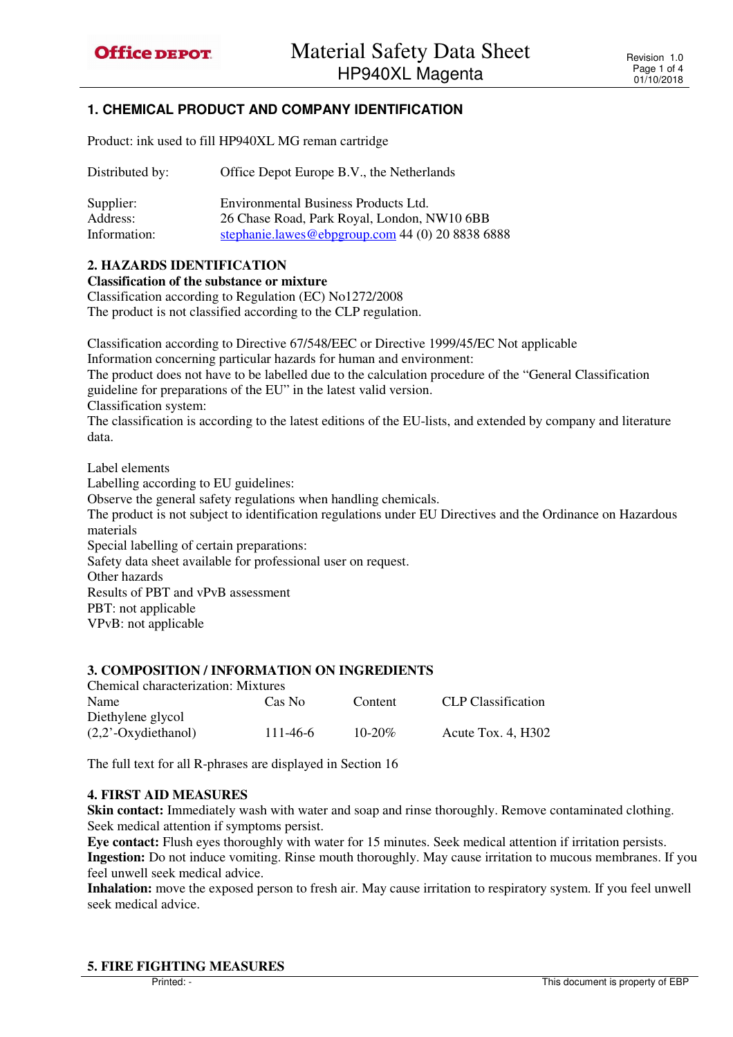# **1. CHEMICAL PRODUCT AND COMPANY IDENTIFICATION**

Product: ink used to fill HP940XL MG reman cartridge

| Distributed by: | Office Depot Europe B.V., the Netherlands        |  |  |
|-----------------|--------------------------------------------------|--|--|
| Supplier:       | Environmental Business Products Ltd.             |  |  |
| Address:        | 26 Chase Road, Park Royal, London, NW10 6BB      |  |  |
| Information:    | stephanie.lawes@ebpgroup.com 44 (0) 20 8838 6888 |  |  |

### **2. HAZARDS IDENTIFICATION**

**Classification of the substance or mixture** 

Classification according to Regulation (EC) No1272/2008

The product is not classified according to the CLP regulation.

Classification according to Directive 67/548/EEC or Directive 1999/45/EC Not applicable Information concerning particular hazards for human and environment: The product does not have to be labelled due to the calculation procedure of the "General Classification guideline for preparations of the EU" in the latest valid version. Classification system: The classification is according to the latest editions of the EU-lists, and extended by company and literature data. Label elements Labelling according to EU guidelines: Observe the general safety regulations when handling chemicals. The product is not subject to identification regulations under EU Directives and the Ordinance on Hazardous

materials

Special labelling of certain preparations:

Safety data sheet available for professional user on request.

Other hazards

Results of PBT and vPvB assessment

PBT: not applicable

VPvB: not applicable

### **3. COMPOSITION / INFORMATION ON INGREDIENTS**

| <b>Chemical characterization: Mixtures</b> |          |             |                      |
|--------------------------------------------|----------|-------------|----------------------|
| Name                                       | Cas No   | Content     | CLP Classification   |
| Diethylene glycol                          |          |             |                      |
| $(2,2)$ <sup>-</sup> Oxydiethanol)         | 111-46-6 | $10 - 20\%$ | Acute Tox. $4. H302$ |
|                                            |          |             |                      |

The full text for all R-phrases are displayed in Section 16

#### **4. FIRST AID MEASURES**

**Skin contact:** Immediately wash with water and soap and rinse thoroughly. Remove contaminated clothing. Seek medical attention if symptoms persist.

**Eye contact:** Flush eyes thoroughly with water for 15 minutes. Seek medical attention if irritation persists. **Ingestion:** Do not induce vomiting. Rinse mouth thoroughly. May cause irritation to mucous membranes. If you feel unwell seek medical advice.

**Inhalation:** move the exposed person to fresh air. May cause irritation to respiratory system. If you feel unwell seek medical advice.

### **5. FIRE FIGHTING MEASURES**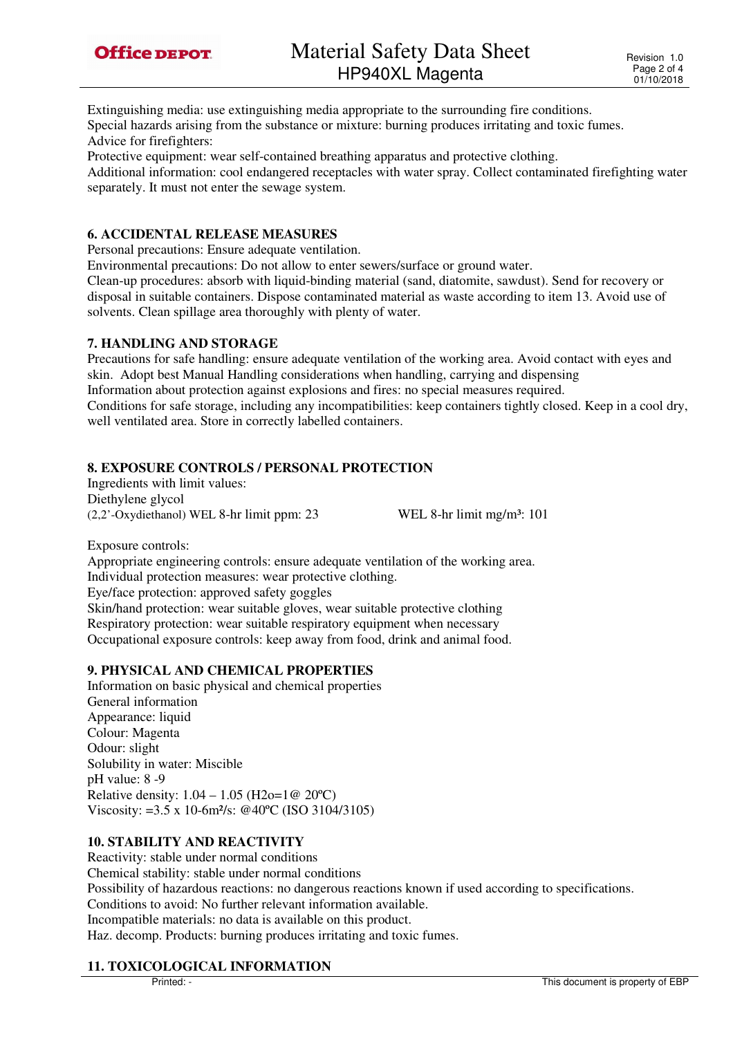

Extinguishing media: use extinguishing media appropriate to the surrounding fire conditions. Special hazards arising from the substance or mixture: burning produces irritating and toxic fumes. Advice for firefighters:

Protective equipment: wear self-contained breathing apparatus and protective clothing.

Additional information: cool endangered receptacles with water spray. Collect contaminated firefighting water separately. It must not enter the sewage system.

#### **6. ACCIDENTAL RELEASE MEASURES**

Personal precautions: Ensure adequate ventilation.

Environmental precautions: Do not allow to enter sewers/surface or ground water.

Clean-up procedures: absorb with liquid-binding material (sand, diatomite, sawdust). Send for recovery or disposal in suitable containers. Dispose contaminated material as waste according to item 13. Avoid use of solvents. Clean spillage area thoroughly with plenty of water.

#### **7. HANDLING AND STORAGE**

Precautions for safe handling: ensure adequate ventilation of the working area. Avoid contact with eyes and skin. Adopt best Manual Handling considerations when handling, carrying and dispensing Information about protection against explosions and fires: no special measures required. Conditions for safe storage, including any incompatibilities: keep containers tightly closed. Keep in a cool dry, well ventilated area. Store in correctly labelled containers.

### **8. EXPOSURE CONTROLS / PERSONAL PROTECTION**

Ingredients with limit values: Diethylene glycol  $(2,2)$ '-Oxydiethanol) WEL 8-hr limit ppm: 23 WEL 8-hr limit mg/m<sup>3</sup>: 101

Exposure controls: Appropriate engineering controls: ensure adequate ventilation of the working area. Individual protection measures: wear protective clothing. Eye/face protection: approved safety goggles Skin/hand protection: wear suitable gloves, wear suitable protective clothing Respiratory protection: wear suitable respiratory equipment when necessary Occupational exposure controls: keep away from food, drink and animal food.

### **9. PHYSICAL AND CHEMICAL PROPERTIES**

Information on basic physical and chemical properties General information Appearance: liquid Colour: Magenta Odour: slight Solubility in water: Miscible pH value: 8 -9 Relative density:  $1.04 - 1.05$  (H2o=1 $@20^{\circ}C$ ) Viscosity: =3.5 x 10-6m²/s: @40ºC (ISO 3104/3105)

### **10. STABILITY AND REACTIVITY**

Reactivity: stable under normal conditions Chemical stability: stable under normal conditions Possibility of hazardous reactions: no dangerous reactions known if used according to specifications. Conditions to avoid: No further relevant information available. Incompatible materials: no data is available on this product. Haz. decomp. Products: burning produces irritating and toxic fumes.

### **11. TOXICOLOGICAL INFORMATION**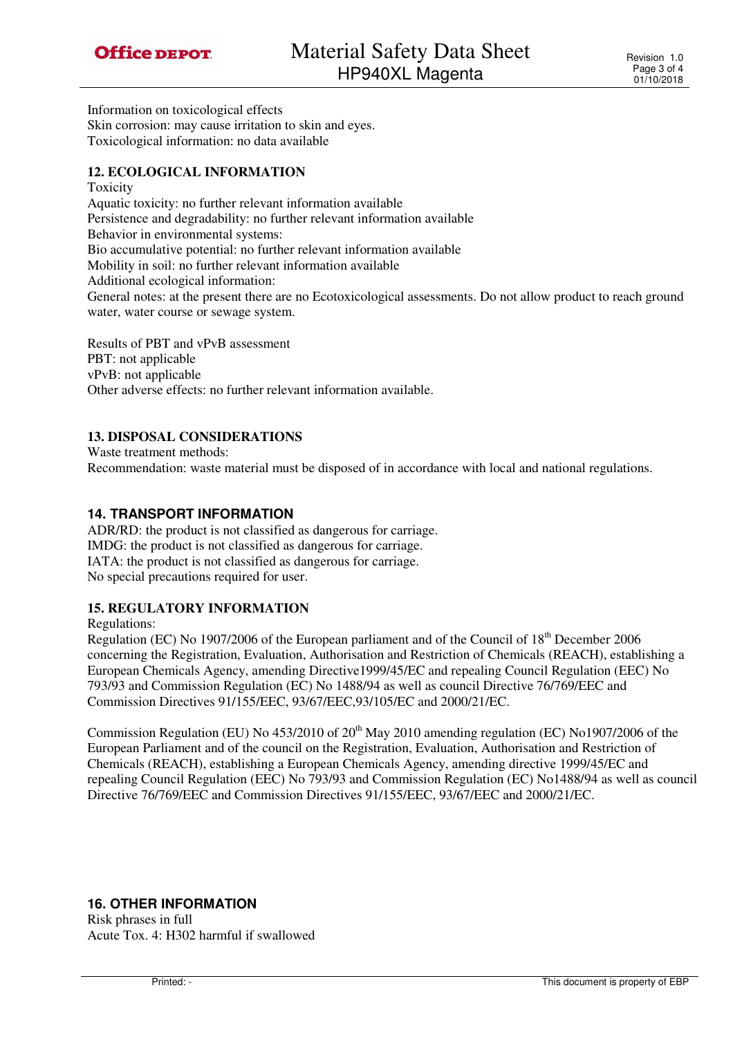

Information on toxicological effects Skin corrosion: may cause irritation to skin and eyes. Toxicological information: no data available

### **12. ECOLOGICAL INFORMATION**

Toxicity Aquatic toxicity: no further relevant information available Persistence and degradability: no further relevant information available Behavior in environmental systems: Bio accumulative potential: no further relevant information available Mobility in soil: no further relevant information available Additional ecological information: General notes: at the present there are no Ecotoxicological assessments. Do not allow product to reach ground water, water course or sewage system.

Results of PBT and vPvB assessment PBT: not applicable vPvB: not applicable Other adverse effects: no further relevant information available.

### **13. DISPOSAL CONSIDERATIONS**

Waste treatment methods: Recommendation: waste material must be disposed of in accordance with local and national regulations.

# **14. TRANSPORT INFORMATION**

ADR/RD: the product is not classified as dangerous for carriage. IMDG: the product is not classified as dangerous for carriage. IATA: the product is not classified as dangerous for carriage. No special precautions required for user.

## **15. REGULATORY INFORMATION**

Regulations:

Regulation (EC) No 1907/2006 of the European parliament and of the Council of 18<sup>th</sup> December 2006 concerning the Registration, Evaluation, Authorisation and Restriction of Chemicals (REACH), establishing a European Chemicals Agency, amending Directive1999/45/EC and repealing Council Regulation (EEC) No 793/93 and Commission Regulation (EC) No 1488/94 as well as council Directive 76/769/EEC and Commission Directives 91/155/EEC, 93/67/EEC,93/105/EC and 2000/21/EC.

Commission Regulation (EU) No  $453/2010$  of  $20<sup>th</sup>$  May 2010 amending regulation (EC) No1907/2006 of the European Parliament and of the council on the Registration, Evaluation, Authorisation and Restriction of Chemicals (REACH), establishing a European Chemicals Agency, amending directive 1999/45/EC and repealing Council Regulation (EEC) No 793/93 and Commission Regulation (EC) No1488/94 as well as council Directive 76/769/EEC and Commission Directives 91/155/EEC, 93/67/EEC and 2000/21/EC.

## **16. OTHER INFORMATION**

Risk phrases in full Acute Tox. 4: H302 harmful if swallowed